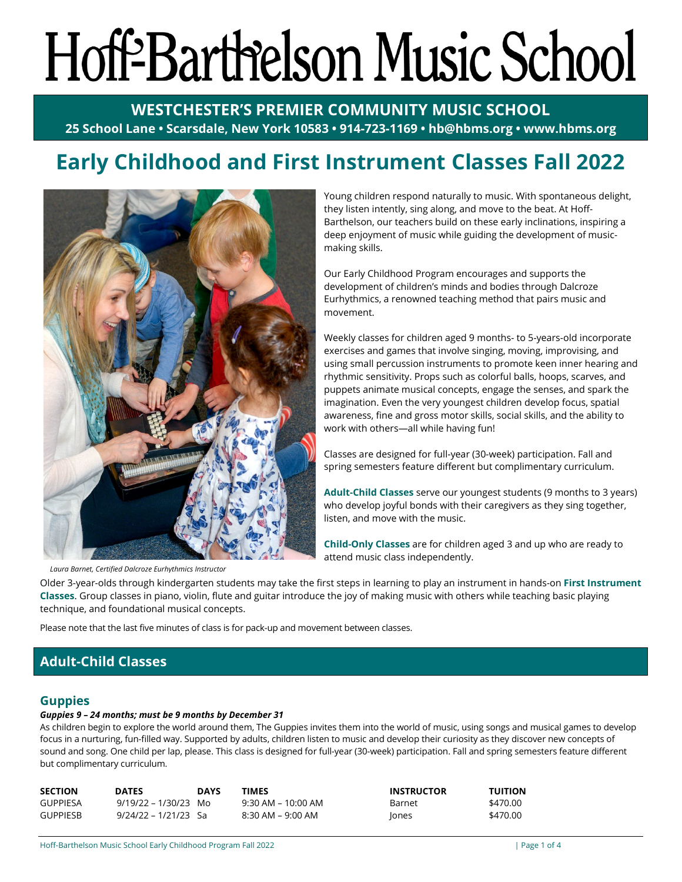# Hoff-Barthelson Music School

**WESTCHESTER'S PREMIER COMMUNITY MUSIC SCHOOL 25 School Lane • Scarsdale, New York 10583 • 914-723-1169 • hb@hbms.org • www.hbms.org**

# **Early Childhood and First Instrument Classes Fall 2022**



Young children respond naturally to music. With spontaneous delight, they listen intently, sing along, and move to the beat. At Hoff-Barthelson, our teachers build on these early inclinations, inspiring a deep enjoyment of music while guiding the development of musicmaking skills.

Our Early Childhood Program encourages and supports the development of children's minds and bodies through Dalcroze Eurhythmics, a renowned teaching method that pairs music and movement.

Weekly classes for children aged 9 months- to 5-years-old incorporate exercises and games that involve singing, moving, improvising, and using small percussion instruments to promote keen inner hearing and rhythmic sensitivity. Props such as colorful balls, hoops, scarves, and puppets animate musical concepts, engage the senses, and spark the imagination. Even the very youngest children develop focus, spatial awareness, fine and gross motor skills, social skills, and the ability to work with others—all while having fun!

Classes are designed for full-year (30-week) participation. Fall and spring semesters feature different but complimentary curriculum.

**Adult-Child Classes** serve our youngest students (9 months to 3 years) who develop joyful bonds with their caregivers as they sing together, listen, and move with the music.

**Child-Only Classes** are for children aged 3 and up who are ready to attend music class independently.

Older 3-year-olds through kindergarten students may take the first steps in learning to play an instrument in hands-on **First Instrument Classes**. Group classes in piano, violin, flute and guitar introduce the joy of making music with others while teaching basic playing technique, and foundational musical concepts.

Please note that the last five minutes of class is for pack-up and movement between classes.

# **Adult-Child Classes**

# **Guppies**

#### *Guppies 9 – 24 months; must be 9 months by December 31*

As children begin to explore the world around them, The Guppies invites them into the world of music, using songs and musical games to develop focus in a nurturing, fun-filled way. Supported by adults, children listen to music and develop their curiosity as they discover new concepts of sound and song. One child per lap, please. This class is designed for full-year (30-week) participation. Fall and spring semesters feature different but complimentary curriculum.

| <b>SECTION</b>  | <b>DATES</b>         | <b>DAYS</b> | TIMES                 | <b>INSTRUCTOR</b> | <b>TUITION</b> |
|-----------------|----------------------|-------------|-----------------------|-------------------|----------------|
| GUPPIESA        | 9/19/22 – 1/30/23 Mo |             | $9:30$ AM – 10:00 AM  | Barnet            | \$470.00       |
| <b>GUPPIESB</b> | 9/24/22 – 1/21/23 Sa |             | $8:30$ AM – $9:00$ AM | Jones             | \$470.00       |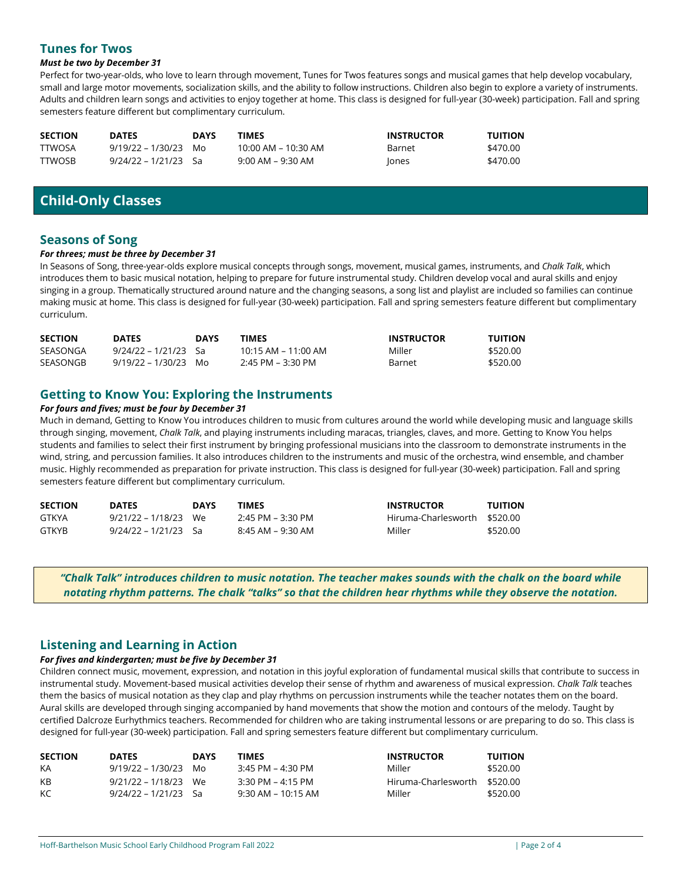# **Tunes for Twos**

#### *Must be two by December 31*

Perfect for two-year-olds, who love to learn through movement, Tunes for Twos features songs and musical games that help develop vocabulary, small and large motor movements, socialization skills, and the ability to follow instructions. Children also begin to explore a variety of instruments. Adults and children learn songs and activities to enjoy together at home. This class is designed for full-year (30-week) participation. Fall and spring semesters feature different but complimentary curriculum.

| <b>SECTION</b> | <b>DATES</b>         | <b>DAYS</b> | <b>TIMES</b>          | <b>INSTRUCTOR</b> | <b>TUITION</b> |
|----------------|----------------------|-------------|-----------------------|-------------------|----------------|
| <b>TTWOSA</b>  | $9/19/22 - 1/30/23$  | Mo          | 10:00 AM - 10:30 AM   | Barnet            | \$470.00       |
| <b>TTWOSB</b>  | 9/24/22 – 1/21/23 Sa |             | $9:00$ AM – $9:30$ AM | Jones             | \$470.00       |

# **Child-Only Classes**

## **Seasons of Song**

#### *For threes; must be three by December 31*

In Seasons of Song, three-year-olds explore musical concepts through songs, movement, musical games, instruments, and *Chalk Talk*, which introduces them to basic musical notation, helping to prepare for future instrumental study. Children develop vocal and aural skills and enjoy singing in a group. Thematically structured around nature and the changing seasons, a song list and playlist are included so families can continue making music at home. This class is designed for full-year (30-week) participation. Fall and spring semesters feature different but complimentary curriculum.

| <b>SECTION</b> | <b>DATES</b>           | <b>DAYS</b> | <b>TIMES</b>            | <b>INSTRUCTOR</b> | <b>TUITION</b> |
|----------------|------------------------|-------------|-------------------------|-------------------|----------------|
| SEASONGA       | $9/24/22 - 1/21/23$ Sa |             | $10:15$ AM – $11:00$ AM | Miller            | \$520.00       |
| SEASONGB       | $9/19/22 - 1/30/23$ Mo |             | $2:45$ PM – 3:30 PM     | Barnet            | \$520.00       |

# **Getting to Know You: Exploring the Instruments**

#### *For fours and fives; must be four by December 31*

Much in demand, Getting to Know You introduces children to music from cultures around the world while developing music and language skills through singing, movement, *Chalk Talk*, and playing instruments including maracas, triangles, claves, and more. Getting to Know You helps students and families to select their first instrument by bringing professional musicians into the classroom to demonstrate instruments in the wind, string, and percussion families. It also introduces children to the instruments and music of the orchestra, wind ensemble, and chamber music. Highly recommended as preparation for private instruction. This class is designed for full-year (30-week) participation. Fall and spring semesters feature different but complimentary curriculum.

| <b>SECTION</b> | <b>DATES</b>         | <b>DAYS</b> | TIMES             | <b>INSTRUCTOR</b>            | <b>TUITION</b> |
|----------------|----------------------|-------------|-------------------|------------------------------|----------------|
| GTKYA          | 9/21/22 – 1/18/23 We |             | 2:45 PM – 3:30 PM | Hiruma-Charlesworth \$520.00 |                |
| GTKYB          | 9/24/22 – 1/21/23 Sa |             | 8:45 AM – 9:30 AM | Miller                       | \$520.00       |

*"Chalk Talk" introduces children to music notation. The teacher makes sounds with the chalk on the board while notating rhythm patterns. The chalk "talks" so that the children hear rhythms while they observe the notation.*

#### **Listening and Learning in Action**

#### *For fives and kindergarten; must be five by December 31*

Children connect music, movement, expression, and notation in this joyful exploration of fundamental musical skills that contribute to success in instrumental study. Movement-based musical activities develop their sense of rhythm and awareness of musical expression. *Chalk Talk* teaches them the basics of musical notation as they clap and play rhythms on percussion instruments while the teacher notates them on the board. Aural skills are developed through singing accompanied by hand movements that show the motion and contours of the melody. Taught by certified Dalcroze Eurhythmics teachers. Recommended for children who are taking instrumental lessons or are preparing to do so. This class is designed for full-year (30-week) participation. Fall and spring semesters feature different but complimentary curriculum.

| <b>SECTION</b> | <b>DATES</b>           | <b>DAYS</b> | TIMES                | <b>INSTRUCTOR</b>            | <b>TUITION</b> |
|----------------|------------------------|-------------|----------------------|------------------------------|----------------|
| KA             | $9/19/22 - 1/30/23$ Mo |             | 3:45 PM – 4:30 PM    | Miller                       | \$520.00       |
| KB             | 9/21/22 – 1/18/23 We   |             | $3:30$ PM – 4:15 PM  | Hiruma-Charlesworth \$520.00 |                |
| KC.            | 9/24/22 – 1/21/23 Sa   |             | $9:30$ AM – 10:15 AM | Miller                       | \$520.00       |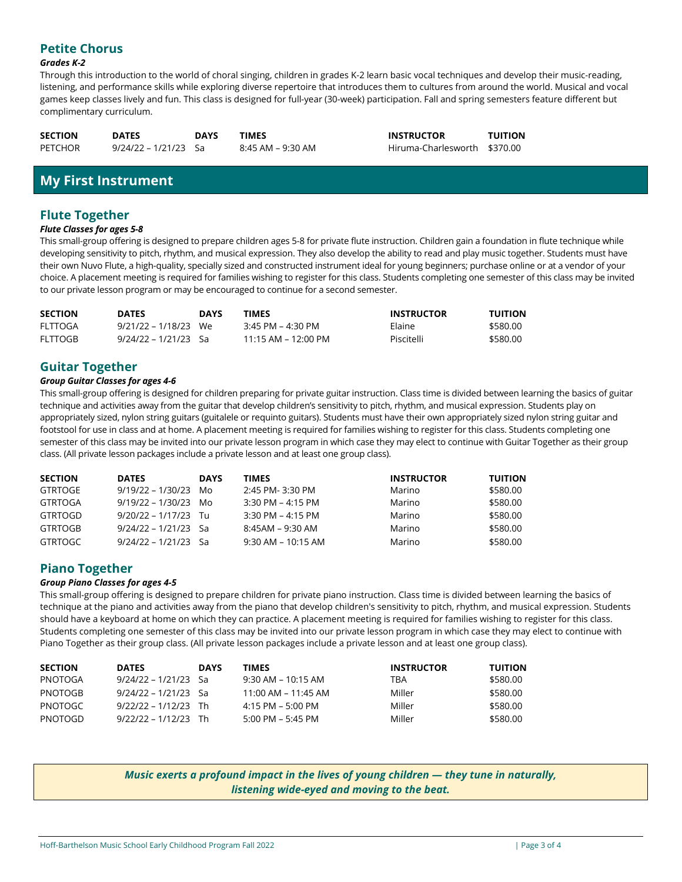# **Petite Chorus**

#### *Grades K-2*

Through this introduction to the world of choral singing, children in grades K-2 learn basic vocal techniques and develop their music-reading, listening, and performance skills while exploring diverse repertoire that introduces them to cultures from around the world. Musical and vocal games keep classes lively and fun. This class is designed for full-year (30-week) participation. Fall and spring semesters feature different but complimentary curriculum.

| <b>SECTION</b> | <b>DATES</b>         | <b>DAYS</b> | <b>TIMES</b>      | <b>INSTRUCTOR</b>            | <b>TUITION</b> |
|----------------|----------------------|-------------|-------------------|------------------------------|----------------|
| PETCHOR        | 9/24/22 – 1/21/23 Sa |             | 8:45 AM – 9:30 AM | Hiruma-Charlesworth \$370.00 |                |

# **My First Instrument**

## **Flute Together**

#### *Flute Classes for ages 5-8*

This small-group offering is designed to prepare children ages 5-8 for private flute instruction. Children gain a foundation in flute technique while developing sensitivity to pitch, rhythm, and musical expression. They also develop the ability to read and play music together. Students must have their own Nuvo Flute, a high-quality, specially sized and constructed instrument ideal for young beginners; purchase online or at a vendor of your choice. A placement meeting is required for families wishing to register for this class. Students completing one semester of this class may be invited to our private lesson program or may be encouraged to continue for a second semester.

| <b>SECTION</b> | <b>DATES</b>           | <b>DAYS</b> | <b>TIMES</b>        | <b>INSTRUCTOR</b> | <b>TUITION</b> |
|----------------|------------------------|-------------|---------------------|-------------------|----------------|
| FLTTOGA        | $9/21/22 - 1/18/23$ We |             | $3:45$ PM – 4:30 PM | Elaine            | \$580.00       |
| FLTTOGB        | 9/24/22 – 1/21/23 Sa   |             | 11:15 AM – 12:00 PM | Piscitelli        | \$580.00       |

# **Guitar Together**

#### *Group Guitar Classes for ages 4-6*

This small-group offering is designed for children preparing for private guitar instruction. Class time is divided between learning the basics of guitar technique and activities away from the guitar that develop children's sensitivity to pitch, rhythm, and musical expression. Students play on appropriately sized, nylon string guitars (guitalele or requinto guitars). Students must have their own appropriately sized nylon string guitar and footstool for use in class and at home. A placement meeting is required for families wishing to register for this class. Students completing one semester of this class may be invited into our private lesson program in which case they may elect to continue with Guitar Together as their group class. (All private lesson packages include a private lesson and at least one group class).

| <b>SECTION</b> | <b>DATES</b>           | <b>DAYS</b> | TIMES                | <b>INSTRUCTOR</b> | <b>TUITION</b> |
|----------------|------------------------|-------------|----------------------|-------------------|----------------|
| GTRTOGE        | 9/19/22 – 1/30/23      | Mo.         | 2:45 PM-3:30 PM      | Marino            | \$580.00       |
| GTRTOGA        | $9/19/22 - 1/30/23$ Mo |             | 3:30 PM - 4:15 PM    | Marino            | \$580.00       |
| GTRTOGD        | $9/20/22 - 1/17/23$ Tu |             | $3:30$ PM – 4:15 PM  | Marino            | \$580.00       |
| GTRTOGB        | $9/24/22 - 1/21/23$ Sa |             | 8:45AM – 9:30 AM     | Marino            | \$580.00       |
| GTRTOGC        | $9/24/22 - 1/21/23$ Sa |             | $9:30$ AM – 10:15 AM | Marino            | \$580.00       |

# **Piano Together**

#### *Group Piano Classes for ages 4-5*

This small-group offering is designed to prepare children for private piano instruction. Class time is divided between learning the basics of technique at the piano and activities away from the piano that develop children's sensitivity to pitch, rhythm, and musical expression. Students should have a keyboard at home on which they can practice. A placement meeting is required for families wishing to register for this class. Students completing one semester of this class may be invited into our private lesson program in which case they may elect to continue with Piano Together as their group class. (All private lesson packages include a private lesson and at least one group class).

| <b>SECTION</b> | <b>DATES</b>           | <b>DAYS</b> | TIMES                               | <b>INSTRUCTOR</b> | <b>TUITION</b> |
|----------------|------------------------|-------------|-------------------------------------|-------------------|----------------|
| PNOTOGA        | 9/24/22 – 1/21/23 Sa   |             | $9:30$ AM – 10:15 AM                | TBA               | \$580.00       |
| PNOTOGB        | 9/24/22 – 1/21/23 Sa   |             | 11:00 AM – 11:45 AM                 | Miller            | \$580.00       |
| PNOTOGC        | $9/22/22 - 1/12/23$ Th |             | $4:15$ PM – 5:00 PM                 | Miller            | \$580.00       |
| PNOTOGD        | $9/22/22 - 1/12/23$ Th |             | $5:00 \text{ PM} - 5:45 \text{ PM}$ | Miller            | \$580.00       |

*Music exerts a profound impact in the lives of young children — they tune in naturally, listening wide-eyed and moving to the beat.*